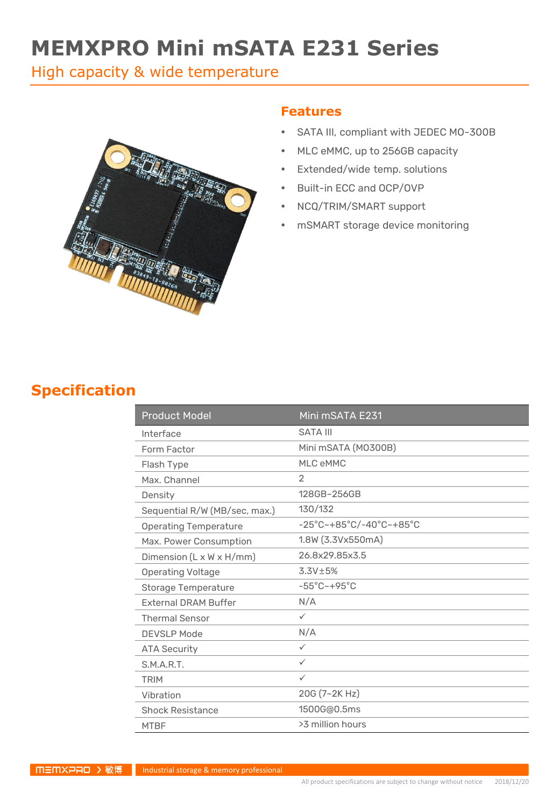# **MEMXPRO Mini mSATA E231 Series**

High capacity & wide temperature



#### **Features**

- SATA III, compliant with JEDEC MO-300B
- MLC eMMC, up to 256GB capacity
- Extended/wide temp. solutions
- Built-in ECC and OCP/OVP
- NCQ/TRIM/SMART support
- mSMART storage device monitoring

#### **Specification**

| <b>Product Model</b>          | Mini mSATA E231                                                    |
|-------------------------------|--------------------------------------------------------------------|
| Interface                     | <b>SATA III</b>                                                    |
| Form Factor                   | Mini mSATA (MO300B)                                                |
| Flash Type                    | MLC eMMC                                                           |
| Max. Channel                  | 2                                                                  |
| Density                       | 128GB~256GB                                                        |
| Sequential R/W (MB/sec, max.) | 130/132                                                            |
| <b>Operating Temperature</b>  | $-25^{\circ}$ C~+85 $^{\circ}$ C/-40 $^{\circ}$ C~+85 $^{\circ}$ C |
| Max. Power Consumption        | 1.8W (3.3Vx550mA)                                                  |
| Dimension (L x W x H/mm)      | 26.8x29.85x3.5                                                     |
| <b>Operating Voltage</b>      | $3.3V \pm 5%$                                                      |
| <b>Storage Temperature</b>    | $-55^{\circ}$ C ~ +95 $^{\circ}$ C                                 |
| <b>External DRAM Buffer</b>   | N/A                                                                |
| <b>Thermal Sensor</b>         | $\checkmark$                                                       |
| <b>DEVSLP Mode</b>            | N/A                                                                |
| <b>ATA Security</b>           | $\checkmark$                                                       |
| S.M.A.R.T.                    | $\checkmark$                                                       |
| <b>TRIM</b>                   | $\checkmark$                                                       |
| Vibration                     | 20G (7~2K Hz)                                                      |
| <b>Shock Resistance</b>       | 1500G@0.5ms                                                        |
| <b>MTBF</b>                   | >3 million hours                                                   |